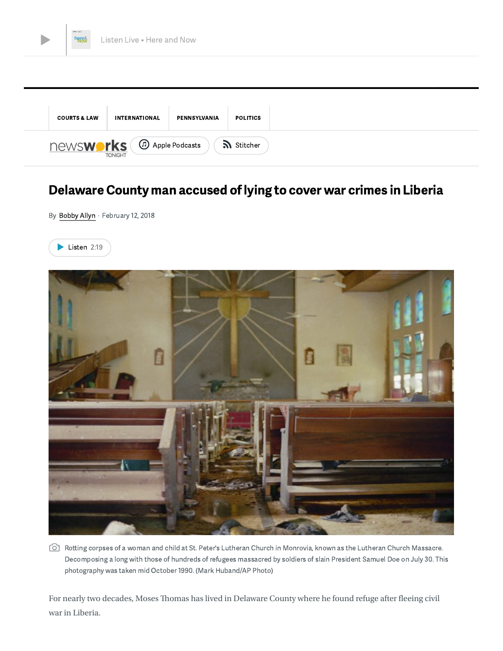



# Delaware County man accused of lying to cover war crimes in Liberia

By [Bobby](https://whyy.org/person/bobby-allyn/) Allyn · February 12, 2018





 $\circlearrowright$  Rotting corpses of a woman and child at St. Peter's Lutheran Church in Monrovia, known as the Lutheran Church Massacre. Decomposing a long with those of hundreds of refugees massacred by soldiers of slain President Samuel Doe on July 30. This photography was taken mid October 1990. (Mark Huband/AP Photo)

For nearly two decades, Moses Thomas has lived in Delaware County where he found refuge after fleeing civil war in Liberia.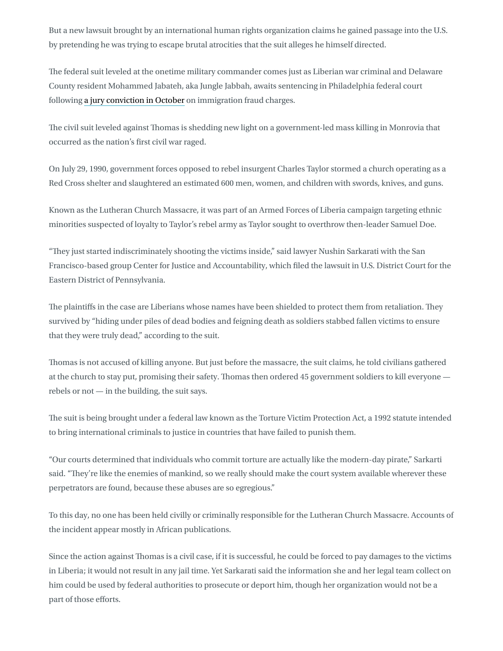But a new lawsuit brought by an international human rights organization claims he gained passage into the U.S. by pretending he was trying to escape brutal atrocities that the suit alleges he himself directed.

The federal suit leveled at the onetime military commander comes just as Liberian war criminal and Delaware County resident Mohammed Jabateh, aka Jungle Jabbah, awaits sentencing in Philadelphia federal court following a jury [conviction](https://whyy.org/articles/jungle-jabba-guilty-fraud-lying-u-s-faces-30-years-prison/) in October on immigration fraud charges.

The civil suit leveled against Thomas is shedding new light on a government-led mass killing in Monrovia that occurred as the nation's first civil war raged.

On July 29, 1990, government forces opposed to rebel insurgent Charles Taylor stormed a church operating as a Red Cross shelter and slaughtered an estimated 600 men, women, and children with swords, knives, and guns.

Known as the Lutheran Church Massacre, it was part of an Armed Forces of Liberia campaign targeting ethnic minorities suspected of loyalty to Taylor's rebel army as Taylor sought to overthrow then-leader Samuel Doe.

"They just started indiscriminately shooting the victims inside," said lawyer Nushin Sarkarati with the San Francisco-based group Center for Justice and Accountability, which filed the lawsuit in U.S. District Court for the Eastern District of Pennsylvania.

The plaintiffs in the case are Liberians whose names have been shielded to protect them from retaliation. They survived by "hiding under piles of dead bodies and feigning death as soldiers stabbed fallen victims to ensure that they were truly dead," according to the suit.

Thomas is not accused of killing anyone. But just before the massacre, the suit claims, he told civilians gathered at the church to stay put, promising their safety. Thomas then ordered 45 government soldiers to kill everyone rebels or not — in the building, the suit says.

The suit is being brought under a federal law known as the Torture Victim Protection Act, a 1992 statute intended to bring international criminals to justice in countries that have failed to punish them.

"Our courts determined that individuals who commit torture are actually like the modern-day pirate," Sarkarti said. "They're like the enemies of mankind, so we really should make the court system available wherever these perpetrators are found, because these abuses are so egregious."

To this day, no one has been held civilly or criminally responsible for the Lutheran Church Massacre. Accounts of the incident appear mostly in African publications.

Since the action against Thomas is a civil case, if it is successful, he could be forced to pay damages to the victims in Liberia; it would not result in any jail time. Yet Sarkarati said the information she and her legal team collect on him could be used by federal authorities to prosecute or deport him, though her organization would not be a part of those efforts.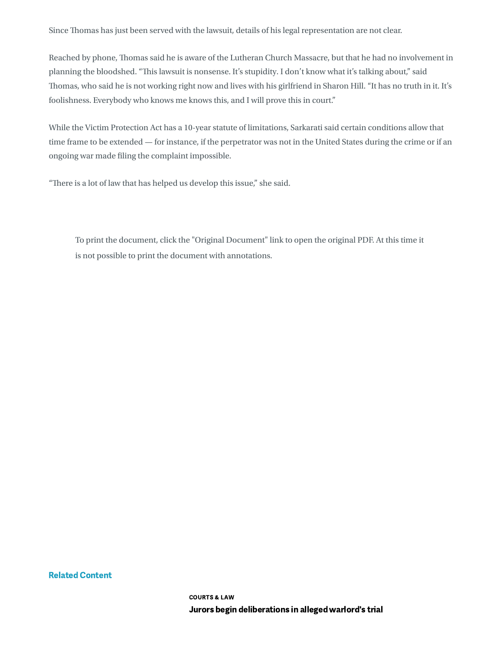Since Thomas has just been served with the lawsuit, details of his legal representation are not clear.

Reached by phone, Thomas said he is aware of the Lutheran Church Massacre, but that he had no involvement in planning the bloodshed. "This lawsuit is nonsense. It's stupidity. I don't know what it's talking about," said Thomas, who said he is not working right now and lives with his girlfriend in Sharon Hill. "It has no truth in it. It's foolishness. Everybody who knows me knows this, and I will prove this in court."

While the Victim Protection Act has a 10-year statute of limitations, Sarkarati said certain conditions allow that time frame to be extended — for instance, if the perpetrator was not in the United States during the crime or if an ongoing war made filing the complaint impossible.

"There is a lot of law that has helped us develop this issue," she said.

To print the document, click the "Original Document" link to open the original PDF. At this time it is not possible to print the document with annotations.

Related Content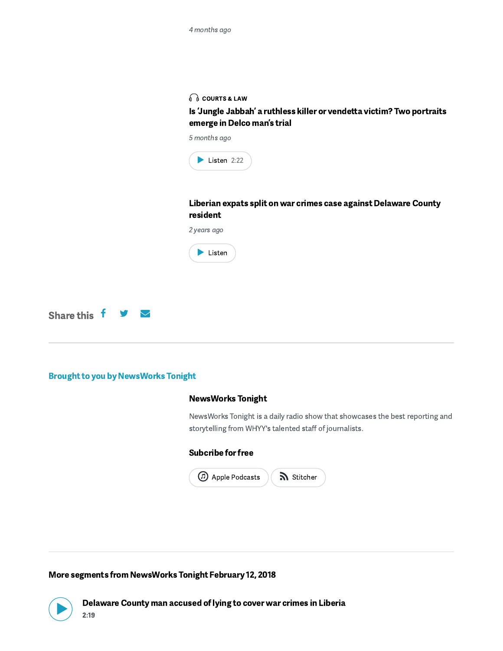### $\bigcap$  [COURTS](https://whyy.org/categories/courts-law/) & LAW

Is 'Jungle Jabbah' a ruthless killer or vendetta victim? Two portraits emerge in Delco man's trial

5 months ago



Liberian expats split on war crimes case against [Delaware](https://whyy.org/articles/liberian-expats-split-on-war-crimes-case-against-delaware-county-resident/) County resident



[Share](http://www.facebook.com/sharer.php?u=https://whyy.org/segments/delaware-county-man-accused-lying-cover-war-crimes-liberia/) this  $\mathsf f$   $\mathsf v$   $\mathsf \subseteq$ 

### Brought to you by NewsWorks Tonight

### [NewsWorks](https://whyy.org/programs/newsworks-tonight/) Tonight

NewsWorks Tonight is a daily radio show that showcases the best reporting and storytelling from WHYY's talented staff of journalists.

### Subcribe for free

| Apple Podcasts | Stitcher |
|----------------|----------|
|                |          |

More segments from [NewsWorks](https://whyy.org/episodes/newsworks-tonight-february-12-2018/) Tonight February 12, 2018

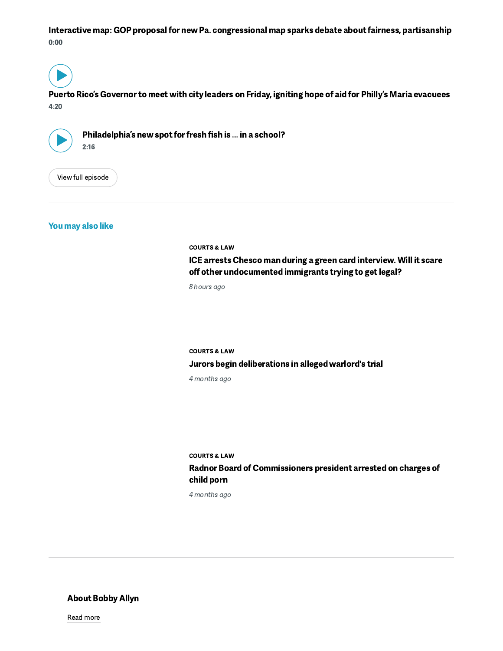Interactive map: GOP proposal for new Pa. [congressional](https://whyy.org/segments/interactive-map-gop-proposal-new-pa-congressional-map-sparks-debate-fairness-partisanship/) map sparks debate about fairness, partisanship 0:00

 $\blacktriangleright)$ 

Puerto Rico's [Governor](https://whyy.org/segments/puerto-ricos-governor-meet-city-leaders-friday-igniting-hope-aid-phillys-maria-evacuees/) to meet with city leaders on Friday, igniting hope of aid for Philly's Maria evacuees 4:20



[Philadelphia's](https://whyy.org/segments/philadelphias-new-spot-fresh-fish-school/) new spot for fresh fish is ... in a school?<br> $2:16$ 

View full [episode](https://whyy.org/segments/delaware-county-man-accused-lying-cover-war-crimes-liberia/)

You may also like

[COURTS](https://whyy.org/categories/courts-law/) & LAW

ICE arrests Chesco man during a green card interview. Will it scare off other [undocumented](https://whyy.org/articles/ice-arrests-chesco-man-green-card-interview-will-scare-off-undocumented-immigrants-trying-get-legal/) immigrants trying to get legal?

8 hours ago

[COURTS](https://whyy.org/categories/courts-law/) & LAW Jurors begin [deliberations](https://whyy.org/articles/jurors-begin-deliberations-jungle-jabbah-alleged-warlord-trial/) in alleged warlord's trial 4 months ago

[COURTS](https://whyy.org/categories/courts-law/) & LAW

Radnor Board of [Commissioners](https://whyy.org/articles/main-line-municipal-board-president-arrested-charges-child-porn/) president arrested on charges of child porn

4 months ago

About Bobby Allyn

Read [more](https://whyy.org/person/bobby-allyn/)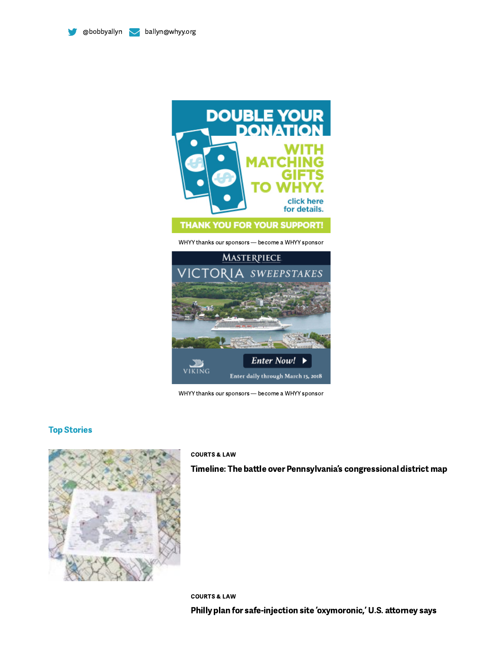



WHYY thanks our sponsors [— become](https://whyy.org/corporate-underwriting/) a WHYY sponsor



WHYY thanks our sponsors [— become](https://whyy.org/corporate-underwriting/) a WHYY sponsor

### Top Stories



#### [COURTS](https://whyy.org/categories/courts-law/) & LAW

Timeline: The battle over [Pennsylvania's](https://whyy.org/articles/timeline-battle-pennsylvanias-congressional-district-map/) congressional district map

[COURTS](https://whyy.org/categories/courts-law/) & LAW Philly plan for [safe-injection](https://whyy.org/segments/philly-plan-safe-injection-site-oxymoronic-u-s-attorney-says/) site 'oxymoronic,' U.S. attorney says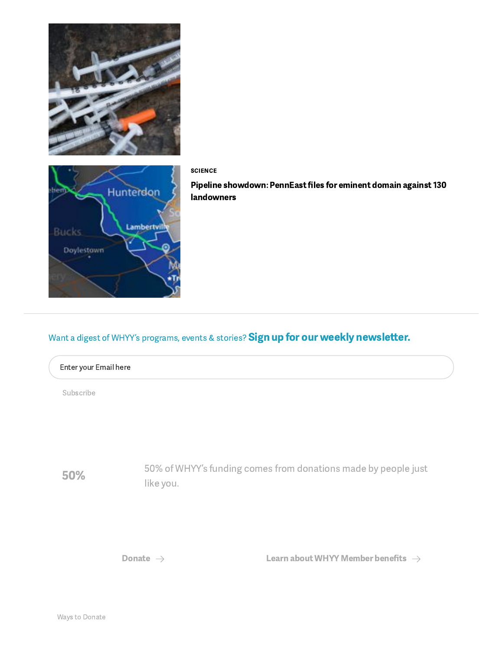

50%

50% of WHYY's funding comes from donations made by people just like you.

[Donate](https://support.whyy.org/join.php)  $\rightarrow$  Learn about WHYY [Member](https://whyy.org/member-benefits/) benefits  $\rightarrow$ 

# Want a digest of WHYY's programs, events & stories? Sign up for our weekly newsletter.





Pipeline showdown: PennEast files for eminent domain against 130 [landowners](https://whyy.org/segments/pipeline-showdown-penneast-files-eminent-domain-130-landowners/)